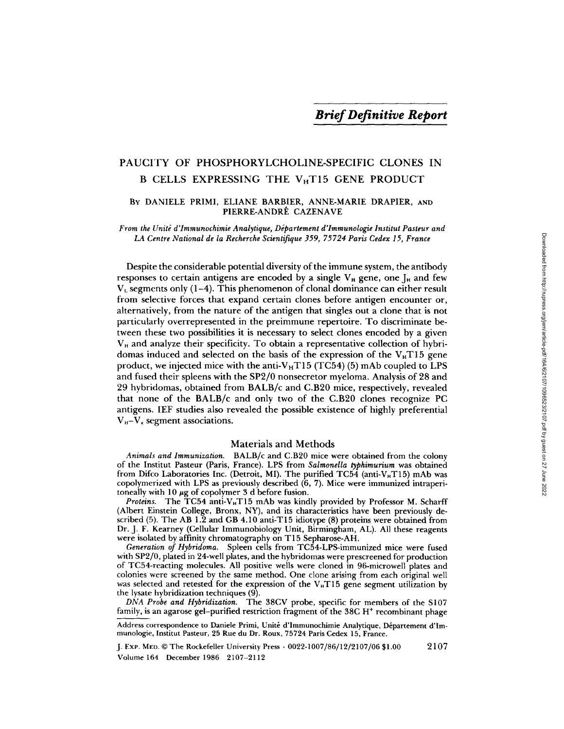# PAUCITY OF PHOSPHORYLCHOLINE-SPECIFIC CLONES IN B CELLS EXPRESSING THE  $V_H$ T15 GENE PRODUCT

# By DANIELE PRIMI, ELIANE BARBIER, ANNE-MARIE DRAPIER, AND PIERRE-ANDRE CAZENAVE

From the Unite d'Immunochimie Analytique, Departement d'Immunologie Institut Pasteur and LA Centre National de la Recherche Scientifique 359, 75724 Paris Cedex 15, France

Despite the considerable potential diversity of the immune system, the antibody responses to certain antigens are encoded by a single  $V_H$  gene, one  $J_H$  and few  $V<sub>L</sub>$  segments only (1-4). This phenomenon of clonal dominance can either result from selective forces that expand certain clones before antigen encounter or, alternatively, from the nature of the antigen that singles out a clone that is not particularly overrepresented in the preimmune repertoire. To discriminate be-<br>tween these two possibilities it is necessary to select clones encoded by a given  $V_H$  and analyze their specificity. To obtain a representative collection of hybridomas induced and selected on the basis of the expression of the  $V_H T15$  gene product, we injected mice with the anti- $V_H T15$  (TC54) (5) mAb coupled to LPS and fused their spleens with the SP2/0 nonsecretor myeloma. Analysis of 28 and 29 hybridomas, obtained from BALB/c and C.B20 mice, respectively, revealed that none of the BALB/c and only two of the C .B20 clones recognize PC antigens. IEF studies also revealed the possible existence of highly preferential  $V_{H} - V_{\kappa}$  segment associations.

# Materials and Methods

Animals and Immunization. BALB/c and C.B20 mice were obtained from the colony of the Institut Pasteur (Paris, France). LPS from Salmonella typhimurium was obtained from Difco Laboratories Inc. (Detroit, MI). The purified TC54 (anti-V<sub>H</sub>T15) mAb was copolymerized with LPS as previously described (6, 7) . Mice were immunized intraperitoneally with  $10 \mu g$  of copolymer 3 d before fusion.

Proteins. The  $TC54$  anti-V<sub>H</sub>T15 mAb was kindly provided by Professor M. Scharff (Albert Einstein College, Bronx, NY), and its characteristics have been previously described  $(5)$ . The AB 1.2 and GB 4.10 anti-T15 idiotype  $(8)$  proteins were obtained from Dr. J. F. Kearney (Cellular Immunobiology Unit, Birmingham, AL). All these reagents were isolated by affinity chromatography on T <sup>15</sup> Sepharose-AH .

Generation of Hybridoma. Spleen cells from TC54-LPS-immunized mice were fused with SP2/0, plated in 24-well plates, and the hybridomas were prescreened for production of TC54-reacting molecules . All positive wells were cloned in 96-microwell plates and colonies were screened by the same method. One clone arising from each original well was selected and retested for the expression of the  $V_H T15$  gene segment utilization by the lysate hybridization techniques (9) .

DNA Probe and Hybridization. The 38CV probe, specific for members of the S107 family, is an agarose gel-purified restriction fragment of the 38C H<sup>+</sup> recombinant phage

Address correspondence to Daniele Primi, Unité d'Immunochimie Analytique, Département d'Immunologie, Institut Pasteur, 25 Rue du Dr. Roux, 75724 Paris Cedex 15, France.

Volume 164 December 1986 2107-2112 J. Exp. MED. C The Rockefeller University Press - 0022-1007/86/12/2107/06 \$1 .00 2107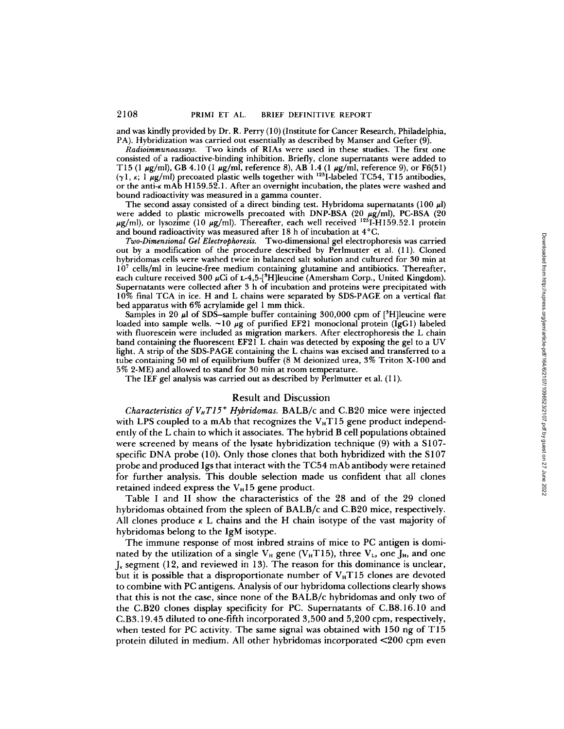and was kindly provided by Dr. R. Perry (10) (Institute for Cancer Research, Philadelphia, PA). Hybridization was carried out essentially as described by Manser and Gefter (9).

Radioimmunoassays. Two kinds of RIAs were used in these studies. The first one consisted of a radioactive-binding inhibition. Briefly, clone supernatants were added to T15 (1  $\mu$ g/ml), GB 4.10 (1  $\mu$ g/ml, reference 8), AB 1.4 (1  $\mu$ g/ml, reference 9), or F6(51)  $(\gamma 1, \kappa; 1 \mu g/ml)$  precoated plastic wells together with <sup>125</sup>I-labeled TC54, T15 antibodies, or the anti-K mAb H <sup>159</sup> .52.1 . After an overnight incubation, the plates were washed and bound radioactivity was measured in <sup>a</sup> gamma counter .

The second assay consisted of a direct binding test. Hybridoma supernatants  $(100 \mu l)$ were added to plastic microwells precoated with DNP-BSA (20  $\mu$ g/ml), PC-BSA (20  $\mu$ g/ml), or lysozime (10  $\mu$ g/ml). Thereafter, each well received  $125$ I-H159.52.1 protein and bound radioactivity was measured after 18 h of incubation at 4°C.

Two-Dimensional Gel Electrophoresis. Two-dimensional gel electrophoresis was carried out by a modification of the procedure described by Perlmutter et al . (11) . Cloned hybridomas cells were washed twice in balanced salt solution and cultured for 30 min at 10<sup>7</sup> cells/ml in leucine-free medium containing glutamine and antibiotics. Thereafter, each culture received  $300 \mu$ Ci of L-4,5-[<sup>9</sup>H]leucine (Amersham Corp., United Kingdom). Supernatants were collected after 3 h of incubation and proteins were precipitated with 10% final TCA in ice . H and L chains were separated by SDS-PAGE on a vertical flat bed apparatus with 6% acrylamide gel <sup>1</sup> mm thick.

Samples in 20  $\mu$ I of SDS-sample buffer containing 300,000 cpm of [<sup>3</sup>H]leucine were loaded into sample wells.  $\sim 10 \mu$ g of purified EF21 monoclonal protein (IgG1) labeled with fluorescein were included as migration markers . After electrophoresis the L chain band containing the fluorescent EF21 L chain was detected by exposing the gel to <sup>a</sup> UV light. A strip of the SDS-PAGE containing the L chains was excised and transferred to a tube containing 50 ml of equilibrium buffer (8 M deionized urea, 3% Triton X-100 and 5% 2-ME) and allowed to stand for 30 min at room temperature.

The IEF gel analysis was carried out as described by Perlmutter et al. (11).

### Result and Discussion

*Characteristics of*  $V_H T I 5^+$  *Hybridomas.* BALB/c and C.B20 mice were injected with LPS coupled to a mAb that recognizes the  $V_H T15$  gene product independently of the L chain to which it associates. The hybrid B cell populations obtained were screened by means of the lysate hybridization technique (9) with a S107 specific DNA probe (10). Only those clones that both hybridized with the S107 probe and produced Igs that interact with the TC54 mAb antibody were retained for further analysis . This double selection made us confident that all clones retained indeed express the  $V_H15$  gene product.

Table <sup>I</sup> and II show the characteristics of the 28 and of the 29 cloned hybridomas obtained from the spleen of BALB/c and C.B20 mice, respectively. All clones produce  $\kappa$  L chains and the H chain isotype of the vast majority of hybridomas belong to the IgM isotype.

The immune response of most inbred strains of mice to PC antigen is dominated by the utilization of a single  $V_H$  gene ( $V_H$ T15), three  $V_L$ , one  $J_H$ , and one  $J_k$  segment (12, and reviewed in 13). The reason for this dominance is unclear, but it is possible that a disproportionate number of V<sub>H</sub>T15 clones are devoted to combine with PC antigens . Analysis of our hybridoma collections clearly shows that this is not the case, since none of the BALB/c hybridomas and only two of the C.B20 clones display specificity for PC. Supernatants of C.B8 .16 .10 and C.B3 .19 .45 diluted to one-fifth incorporated 3,500 and 5,200 cpm, respectively, when tested for PC activity. The same signal was obtained with 150 ng of T15 protein diluted in medium. All other hybridomas incorporated <200 cpm even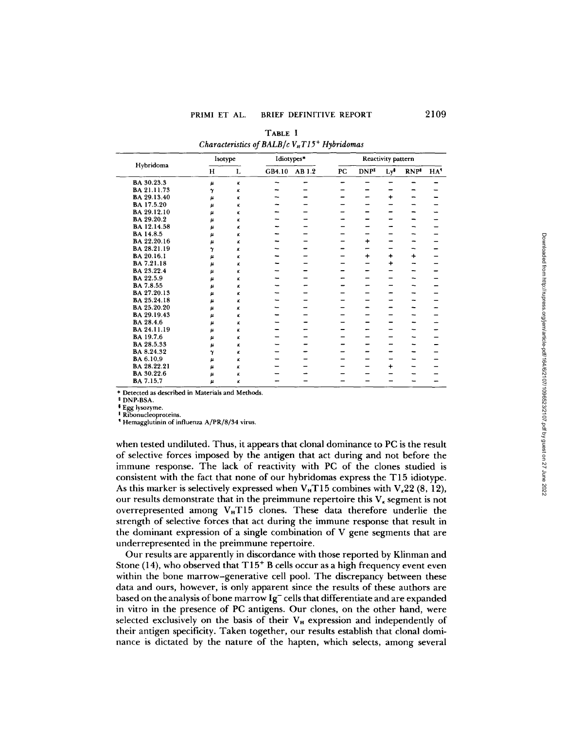| Hybridoma   | Isotype            |                | Idiotypes* |        | Reactivity pattern |                  |                 |            |     |
|-------------|--------------------|----------------|------------|--------|--------------------|------------------|-----------------|------------|-----|
|             | H                  | L              | GB4.10     | AB 1.2 | PC                 | DNP <sup>‡</sup> | Ly <sup>#</sup> | <b>RNP</b> | HA' |
| BA 30.23.3  | $\pmb{\mu}$        | $\pmb{\kappa}$ |            |        |                    |                  |                 |            |     |
| BA 21.11.73 | γ                  | ĸ              |            |        |                    |                  |                 |            |     |
| BA 29.13.40 | $\pmb{\mu}$        | к              |            |        |                    |                  | $\ddot{}$       |            |     |
| BA 17.5.20  | μ                  | ĸ              |            |        |                    |                  |                 |            |     |
| BA 29.12.10 | $\mu$              | к              |            |        |                    |                  |                 |            |     |
| BA 29.20.2  | и                  | ĸ              |            |        |                    |                  |                 |            |     |
| BA 12.14.58 | μ                  | κ              |            |        |                    |                  |                 |            |     |
| BA 14.8.5   | $\pmb{\mu}$        | κ              |            |        |                    |                  |                 |            |     |
| BA 22.20.16 | $\boldsymbol{\mu}$ | κ              |            |        |                    | $\ddot{}$        |                 |            |     |
| BA 28.21.19 | $\gamma$           | ĸ              |            |        |                    |                  |                 |            |     |
| BA 20.16.1  | $\pmb{\mu}$        | κ              |            |        |                    | $\ddot{}$        | $\ddot{}$       | $\ddot{}$  |     |
| BA 7.21.18  | $\mu$              | κ              |            |        |                    |                  | $\ddot{}$       |            |     |
| BA 23.22.4  | u                  | κ              |            |        |                    |                  |                 |            |     |
| BA 22.5.9   | μ                  | κ              |            |        |                    |                  |                 |            |     |
| BA 7.8.55   | $\boldsymbol{\mu}$ | κ              |            |        |                    |                  |                 |            |     |
| BA 27.20.13 | μ.                 | κ              |            |        |                    |                  |                 |            |     |
| BA 25.24.18 | μ                  | κ              |            |        |                    |                  |                 |            |     |
| BA 25.20.20 | $\mu$              | ĸ              |            |        |                    |                  |                 |            |     |
| BA 29.19.43 | $\pmb{\mu}$        | κ              |            |        |                    |                  |                 |            |     |
| BA 28.4.6   | μ                  | κ              |            |        |                    |                  |                 |            |     |
| BA 24.11.19 | $\mu$              | κ              |            |        |                    |                  |                 |            |     |
| BA 19.7.6   | $\pmb{\mu}$        | κ              |            |        |                    |                  |                 | ╌          |     |
| BA 28.5.33  | μ                  | ĸ              |            |        |                    |                  |                 |            |     |
| BA 8.24.32  | γ                  | κ              |            |        |                    |                  |                 |            |     |
| BA 6.10.9   | μ                  | κ              |            |        |                    |                  |                 |            |     |
| BA 28.22.21 | μ                  | ĸ              |            |        |                    |                  | $\ddot{}$       |            |     |
| BA 30.22.6  | $\boldsymbol{\mu}$ | κ              |            |        |                    |                  |                 |            |     |
| BA 7.15.7   | $\mu$              | к              |            |        |                    |                  |                 |            |     |
|             |                    |                |            |        |                    |                  |                 |            |     |

TABLE <sup>I</sup>  $Characteristics of BALB/c$   $V_{\scriptscriptstyle H} T15^+$  Hybridomas

\* Detected as described in Materials and Methods.

<sup>t</sup> DNP-BSA.

Egg lysozyme .

Ribonucleoproteins.

Hemagglutinin of influenza A/PR/8/34 virus.

when tested undiluted. Thus, it appears that clonal dominance to PC is the result of selective forces imposed by the antigen that act during and not before the immune response. The lack of reactivity with PC of the clones studied is consistent with the fact that none of our hybridomas express the T15 idiotype . As this marker is selectively expressed when  $V<sub>H</sub>T15$  combines with  $V<sub>\kappa</sub>22$  (8, 12), our results demonstrate that in the preimmune repertoire this  $V_x$  segment is not overrepresented among V<sub>H</sub>T15 clones. These data therefore underlie the strength of selective forces that act during the immune response that result in the dominant expression of a single combination of V gene segments that are underrepresented in the preimmune repertoire.

Our results are apparently in discordance with those reported by Klinman and Stone (14), who observed that  $T15^+$  B cells occur as a high frequency event even within the bone marrow-generative cell pool. The discrepancy between these data and ours, however, is only apparent since the results of these authors are based on the analysis of bone marrow  $Ig^-$  cells that differentiate and are expanded in vitro in the presence of PC antigens. Our clones, on the other hand, were selected exclusively on the basis of their  $V_H$  expression and independently of their antigen specificity. Taken together, our results establish that clonal dominance is dictated by the nature of the hapten, which selects, among several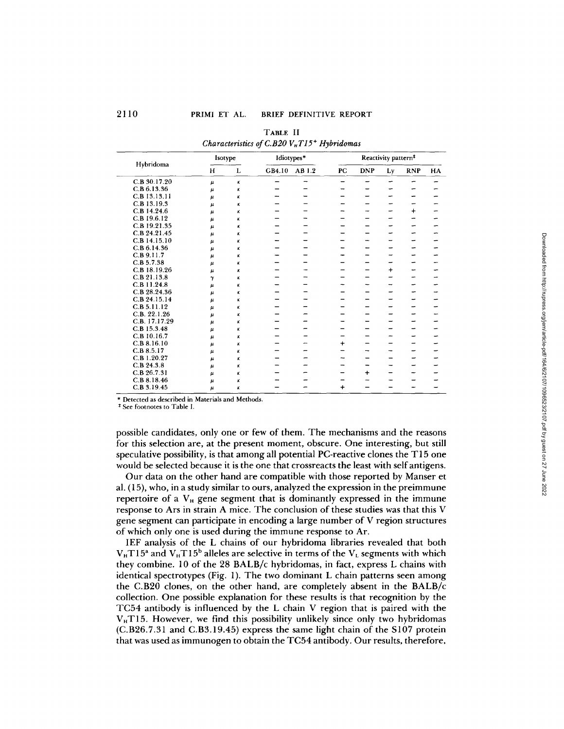| Hybridoma     | Isotype            |          | Idiotypes* |        | Reactivity pattern <sup>#</sup> |            |           |            |    |
|---------------|--------------------|----------|------------|--------|---------------------------------|------------|-----------|------------|----|
|               | H                  | L        | GB4.10     | AB 1.2 | PC                              | <b>DNP</b> | Ly        | <b>RNP</b> | HA |
| C.B 30.17.20  | $\mu$              | κ        |            |        |                                 |            |           |            |    |
| C.B 6.13.36   | $\mu$              | κ        |            |        |                                 |            |           |            |    |
| C.B 13.13.11  | $\mu$              | κ        |            |        |                                 |            |           |            |    |
| C.B 13.19.3   | $\pmb{\mu}$        | κ        |            |        |                                 |            |           |            |    |
| C.B 14.24.6   | μ                  | к        |            |        |                                 |            |           | $+$        |    |
| C.B 19.6.12   | $\pmb{\mu}$        | κ        |            |        |                                 |            |           |            |    |
| C.B 19.21.35  | $\mu$              | κ        |            |        |                                 |            |           |            |    |
| C.B 24.21.45  | $\mu$              | $\kappa$ |            |        |                                 |            |           |            |    |
| C.B 14.15.10  | μ                  | ĸ        |            |        |                                 |            |           |            |    |
| C.B.6.14.36   | μ                  | κ        |            |        |                                 |            |           |            |    |
| C.B.9.11.7    | μ                  | к        |            |        |                                 |            |           |            |    |
| C.B.5.7.38    | $\mu$              | κ        |            |        |                                 |            |           |            |    |
| C.B 18.19.26  | $\pmb{\mu}$        | κ        |            |        |                                 |            | $\ddot{}$ | ÷          |    |
| C.B 21.13.8   | $\gamma$           | κ        |            |        |                                 |            | →         |            |    |
| C.B 11.24.8   | μ.                 | κ        |            |        |                                 |            |           |            |    |
| C.B 28.24.36  | $\boldsymbol{\mu}$ | κ        |            |        |                                 |            |           |            |    |
| C.B 24.15.14  | $\pmb{\mu}$        | ĸ        |            |        |                                 |            |           |            |    |
| C.B.5.11.12   | $\pmb{\mu}$        | ĸ        |            |        |                                 |            |           |            |    |
| C.B. 22.1.26  | μ                  | κ        |            |        |                                 |            |           |            |    |
| C.B. 17.17.29 | $\mu$              | к        |            |        |                                 |            |           |            |    |
| C.B 15.3.48   | $\pmb{\mu}$        | к        |            |        |                                 |            |           |            |    |
| C.B 10.16.7   | $\pmb{\mu}$        | к        |            |        |                                 |            |           |            |    |
| C.B.8.16.10   | $\pmb{\mu}$        | к        |            |        | $\ddot{}$                       |            |           |            |    |
| C.B.8.5.17    | $\pmb{\mu}$        | κ        |            |        |                                 |            |           |            |    |
| C.B 1.20.27   | μ                  | κ        |            |        |                                 |            |           |            |    |
| C.B.24.3.8    | $\mu$              | κ        |            |        |                                 |            |           |            |    |
| C.B.26.7.31   | $\mu$              | κ        |            |        |                                 | $\ddot{}$  |           |            |    |
| C.B 8.18.46   | $\mu$              | κ        |            |        |                                 |            |           |            |    |
| C.B 3.19.45   | $\mu$              | К        |            |        | $\ddot{}$                       |            |           |            |    |

| TABLE II                                                  |  |
|-----------------------------------------------------------|--|
| Characteristics of C.B20 $VH T15$ <sup>+</sup> Hybridomas |  |

\* Detected as described in Materials and Methods.

<sup>‡</sup> See footnotes to Table I.

possible candidates, only one or few of them. The mechanisms and the reasons for this selection are, at the present moment, obscure. One interesting, but still speculative possibility, is that among all potential PC-reactive clones the T15 one would be selected because it is the one that crossreacts the least with self antigens.

Our data on the other hand are compatible with those reported by Manser et al. (15), who, in a study similar to ours, analyzed the expression in the preimmune repertoire of a V<sub>H</sub> gene segment that is dominantly expressed in the immune response to Ars in strain A mice. The conclusion of these studies was that this V gene segment can participate in encoding a large number of V region structures of which only one is used during the immune response to Ar.

IEF analysis of the L chains of our hybridoma libraries revealed that both  $V_{\rm H}$ T15<sup>a</sup> and  $V_{\rm H}$ T15<sup>b</sup> alleles are selective in terms of the  $V_{\rm L}$  segments with which they combine. 10 of the 28 BALB/c hybridomas, in fact, express L chains with identical spectrotypes (Fig. 1). The two dominant L chain patterns seen among the C.B20 clones, on the other hand, are completely absent in the BALB/c collection . One possible explanation for these results is that recognition by the TC54 antibody is influenced by the L chain V region that is paired with the V T15. However, we find this possibility unlikely since only two hybridomas (C .B26.7 .31 and C.B3.19 .45) express the same light chain of the 5107 protein that was used as immunogen to obtain the TC54 antibody. Our results, therefore,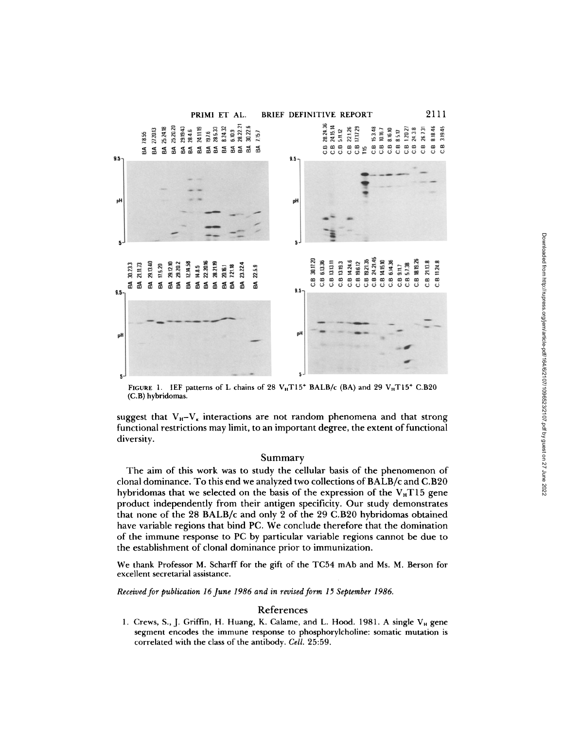

FIGURE 1. IEF patterns of L chains of 28  $V_H T15^+$  BALB/c (BA) and 29  $V_H T15^+$  C.B20 (C.B) hybridomas.

suggest that  $V_{H}-V_{\kappa}$  interactions are not random phenomena and that strong functional restrictions maylimit, to an important degree, the extent of functional diversity.

#### Summary

The aim of this work was to study the cellular basis of the phenomenon of clonal dominance. To this end we analyzed two collections of BALB/c and C.B20 hybridomas that we selected on the basis of the expression of the  $V<sub>H</sub>T15$  gene product independently from their antigen specificity. Our study demonstrates that none of the 28 BALB/c and only <sup>2</sup> of the 29 C.B20 hybridomas obtained have variable regions that bind PC . We conclude therefore that the domination of the immune response to PC by particular variable regions cannot be due to the establishment of clonal dominance prior to immunization .

We thank Professor M. Scharff for the gift of the TC54 mAb and Ms. M. Berson for excellent secretarial assistance .

Received for publication 16 June 1986 and in revised form 15 September 1986.

# References

1. Crews, S., J. Griffin, H. Huang, K. Calame, and L. Hood. 1981. A single  $V_H$  gene segment encodes the immune response to phosphorylcholine: somatic mutation is correlated with the class of the antibody. Cell. 25:59.